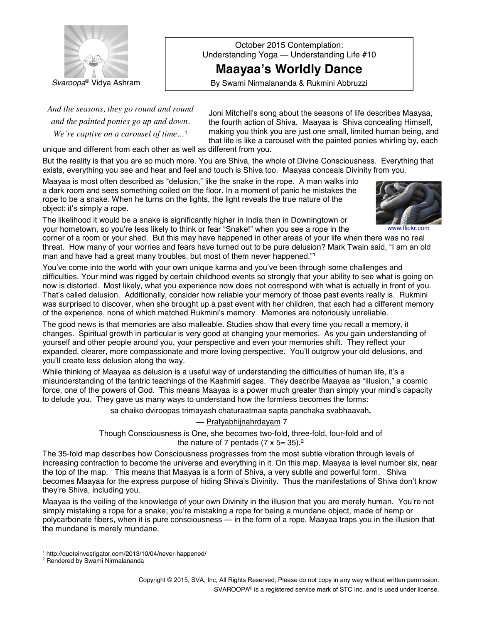

October 2015 Contemplation: Understanding Yoga - Understanding Life #10

**Maayaaís Worldly Dance**

**Svaroopa**<sup>®</sup> Vidya Ashram **Exercity By Swami Nirmalananda & Rukmini Abbruzzi** 

*And the seasons, they go round and round and the painted ponies go up and down. We*'*re captive on a carousel of time*...<sup>1</sup>

Joni Mitchell's song about the seasons of life describes Maayaa, the fourth action of Shiva. Maayaa is Shiva concealing Himself, making you think you are just one small, limited human being, and that life is like a carousel with the painted ponies whirling by, each

unique and different from each other as well as different from you.

But the reality is that you are so much more. You are Shiva, the whole of Divine Consciousness. Everything that exists, everything you see and hear and feel and touch is Shiva too. Maayaa conceals Divinity from you.

Maayaa is most often described as "delusion," like the snake in the rope. A man walks into a dark room and sees something coiled on the floor. In a moment of panic he mistakes the rope to be a snake*.* When he turns on the lights, the light reveals the true nature of the object: itís simply a rope*.*

The likelihood it would be a snake is significantly higher in India than in Downingtown or your hometown, so you're less likely to think or fear "Snake!" when you see a rope in the



corner of a room or your shed. But this may have happened in other areas of your life when there was no real threat. How many of your worries and fears have turned out to be pure delusion? Mark Twain said, "I am an old man and have had a great many troubles, but most of them never happened."<sup>1</sup>

You've come into the world with your own unique karma and you've been through some challenges and difficulties. Your mind was rigged by certain childhood events so strongly that your ability to see what is going on now is distorted. Most likely, what you experience now does not correspond with what is actually in front of you. That's called delusion. Additionally, consider how reliable your memory of those past events really is. Rukmini was surprised to discover, when she brought up a past event with her children, that each had a different memory of the experience, none of which matched Rukminiís memory. Memories are notoriously unreliable.

The good news is that memories are also malleable. Studies show that every time you recall a memory, it changes. Spiritual growth in particular is very good at changing your memories. As you gain understanding of yourself and other people around you, your perspective and even your memories shift. They reflect your expanded, clearer, more compassionate and more loving perspective. Youíll outgrow your old delusions, and you'll create less delusion along the way.

While thinking of Maayaa as delusion is a useful way of understanding the difficulties of human life, it's a misunderstanding of the tantric teachings of the Kashmiri sages. They describe Maayaa as "illusion," a cosmic force, one of the powers of God. This means Maayaa is a power much greater than simply your mindís capacity to delude you. They gave us many ways to understand how the formless becomes the forms:

sa chaiko dviroopas trimayash chaturaatmaa sapta panchaka svabhaavah**.**

## **ó** Pratyabhijnahrdayam 7

Though Consciousness is One, she becomes two-fold, three-fold, four-fold and of the nature of 7 pentads (7 x 5= 35).<sup>2</sup>

The 35-fold map describes how Consciousness progresses from the most subtle vibration through levels of increasing contraction to become the universe and everything in it. On this map, Maayaa is level number six, near the top of the map. This means that Maayaa is a form of Shiva, a very subtle and powerful form. Shiva becomes Maayaa for the express purpose of hiding Shivaís Divinity. Thus the manifestations of Shiva donít know they're Shiva, including you.

Maayaa is the veiling of the knowledge of your own Divinity in the illusion that you are merely human. Youíre not simply mistaking a rope for a snake; you're mistaking a rope for being a mundane object, made of hemp or polycarbonate fibers, when it is pure consciousness — in the form of a rope. Maayaa traps you in the illusion that the mundane is merely mundane.

<sup>1</sup> <http://quoteinvestigator.com/2013/10/04/never-happened/>

<sup>2</sup> Rendered by Swami Nirmalananda